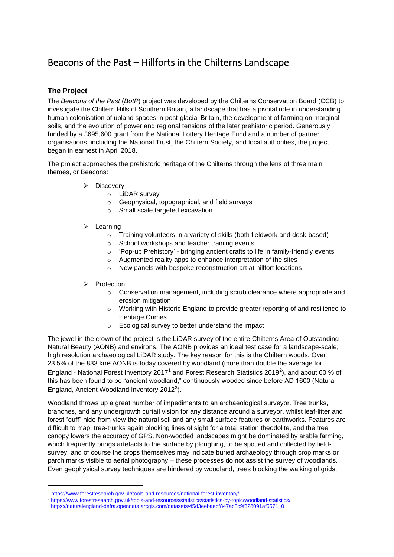## Beacons of the Past – Hillforts in the Chilterns Landscape

## **The Project**

The *Beacons of the Past* (*BotP*) project was developed by the Chilterns Conservation Board (CCB) to investigate the Chiltern Hills of Southern Britain, a landscape that has a pivotal role in understanding human colonisation of upland spaces in post-glacial Britain, the development of farming on marginal soils, and the evolution of power and regional tensions of the later prehistoric period. Generously funded by a £695,600 grant from the National Lottery Heritage Fund and a number of partner organisations, including the National Trust, the Chiltern Society, and local authorities, the project began in earnest in April 2018.

The project approaches the prehistoric heritage of the Chilterns through the lens of three main themes, or Beacons:

- ➢ Discovery
	- o LiDAR survey
	- o Geophysical, topographical, and field surveys
	- o Small scale targeted excavation
- ➢ Learning
	- o Training volunteers in a variety of skills (both fieldwork and desk-based)
	- o School workshops and teacher training events
	- o 'Pop-up Prehistory' bringing ancient crafts to life in family-friendly events
	- o Augmented reality apps to enhance interpretation of the sites
	- o New panels with bespoke reconstruction art at hillfort locations
- **Protection** 
	- o Conservation management, including scrub clearance where appropriate and erosion mitigation
	- o Working with Historic England to provide greater reporting of and resilience to Heritage Crimes
	- o Ecological survey to better understand the impact

The jewel in the crown of the project is the LiDAR survey of the entire Chilterns Area of Outstanding Natural Beauty (AONB) and environs. The AONB provides an ideal test case for a landscape-scale, high resolution archaeological LiDAR study. The key reason for this is the Chiltern woods. Over 23.5% of the 833 km<sup>2</sup> AONB is today covered by woodland (more than double the average for England - National Forest Inventory 2017<sup>1</sup> and Forest Research Statistics 2019<sup>2</sup>), and about 60 % of this has been found to be "ancient woodland," continuously wooded since before AD 1600 (Natural England, Ancient Woodland Inventory 2012 $^3$ ).

Woodland throws up a great number of impediments to an archaeological surveyor. Tree trunks, branches, and any undergrowth curtail vision for any distance around a surveyor, whilst leaf-litter and forest "duff" hide from view the natural soil and any small surface features or earthworks. Features are difficult to map, tree-trunks again blocking lines of sight for a total station theodolite, and the tree canopy lowers the accuracy of GPS. Non-wooded landscapes might be dominated by arable farming, which frequently brings artefacts to the surface by ploughing, to be spotted and collected by fieldsurvey, and of course the crops themselves may indicate buried archaeology through crop marks or parch marks visible to aerial photography – these processes do not assist the survey of woodlands. Even geophysical survey techniques are hindered by woodland, trees blocking the walking of grids,

<sup>&</sup>lt;sup>1</sup> <https://www.forestresearch.gov.uk/tools-and-resources/national-forest-inventory/>

<sup>&</sup>lt;sup>2</sup> <https://www.forestresearch.gov.uk/tools-and-resources/statistics/statistics-by-topic/woodland-statistics/>

<sup>3</sup> [https://naturalengland-defra.opendata.arcgis.com/datasets/45d3eebaebf847ac8c9f328091af5571\\_0](https://naturalengland-defra.opendata.arcgis.com/datasets/45d3eebaebf847ac8c9f328091af5571_0)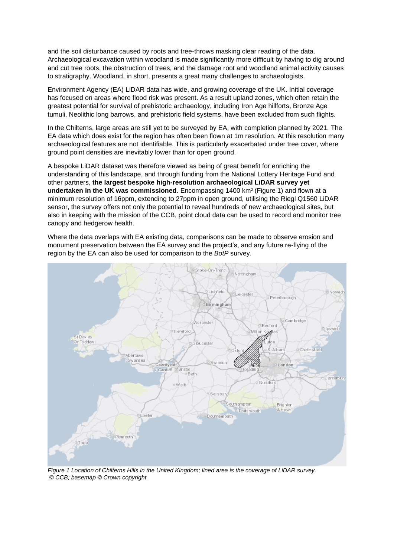and the soil disturbance caused by roots and tree-throws masking clear reading of the data. Archaeological excavation within woodland is made significantly more difficult by having to dig around and cut tree roots, the obstruction of trees, and the damage root and woodland animal activity causes to stratigraphy. Woodland, in short, presents a great many challenges to archaeologists.

Environment Agency (EA) LiDAR data has wide, and growing coverage of the UK. Initial coverage has focused on areas where flood risk was present. As a result upland zones, which often retain the greatest potential for survival of prehistoric archaeology, including Iron Age hillforts, Bronze Age tumuli, Neolithic long barrows, and prehistoric field systems, have been excluded from such flights.

In the Chilterns, large areas are still yet to be surveyed by EA, with completion planned by 2021. The EA data which does exist for the region has often been flown at 1m resolution. At this resolution many archaeological features are not identifiable. This is particularly exacerbated under tree cover, where ground point densities are inevitably lower than for open ground.

A bespoke LiDAR dataset was therefore viewed as being of great benefit for enriching the understanding of this landscape, and through funding from the National Lottery Heritage Fund and other partners, **the largest bespoke high-resolution archaeological LiDAR survey yet undertaken in the UK was commissioned**. Encompassing 1400 km<sup>2</sup> (Figure 1) and flown at a minimum resolution of 16ppm, extending to 27ppm in open ground, utilising the Riegl Q1560 LiDAR sensor, the survey offers not only the potential to reveal hundreds of new archaeological sites, but also in keeping with the mission of the CCB, point cloud data can be used to record and monitor tree canopy and hedgerow health.

Where the data overlaps with EA existing data, comparisons can be made to observe erosion and monument preservation between the EA survey and the project's, and any future re-flying of the region by the EA can also be used for comparison to the *BotP* survey.



*Figure 1 Location of Chilterns Hills in the United Kingdom; lined area is the coverage of LiDAR survey. © CCB; basemap © Crown copyright*